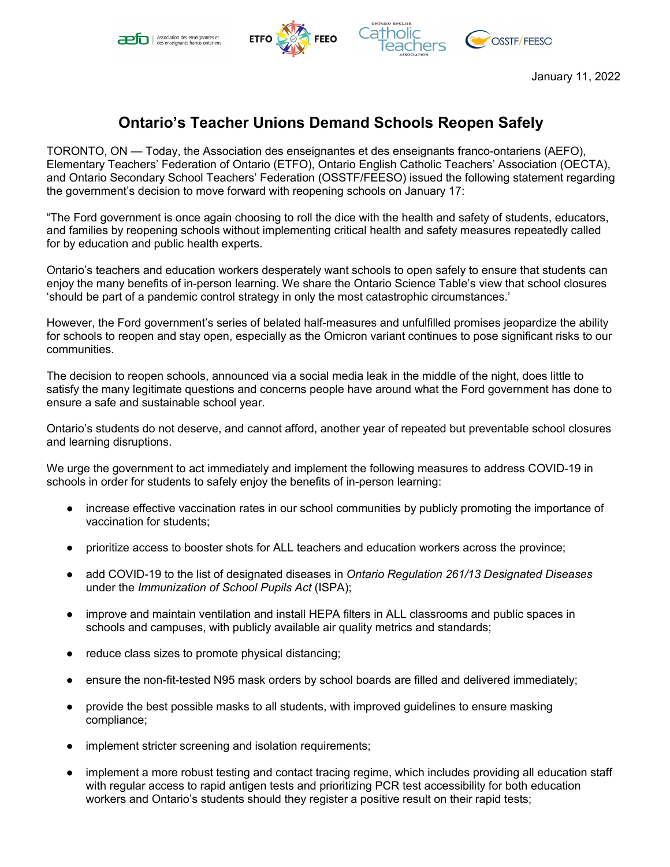





January 11, 2022

## **Ontario's Teacher Unions Demand Schools Reopen Safely**

TORONTO, ON — Today, the Association des enseignantes et des enseignants franco-ontariens (AEFO), Elementary Teachers' Federation of Ontario (ETFO), Ontario English Catholic Teachers' Association (OECTA), and Ontario Secondary School Teachers' Federation (OSSTF/FEESO) issued the following statement regarding the government's decision to move forward with reopening schools on January 17:

"The Ford government is once again choosing to roll the dice with the health and safety of students, educators, and families by reopening schools without implementing critical health and safety measures repeatedly called for by education and public health experts.

Ontario's teachers and education workers desperately want schools to open safely to ensure that students can enjoy the many benefits of in-person learning. We share the Ontario Science Table's view that school closures 'should be part of a pandemic control strategy in only the most catastrophic circumstances.'

However, the Ford government's series of belated half-measures and unfulfilled promises jeopardize the ability for schools to reopen and stay open, especially as the Omicron variant continues to pose significant risks to our communities.

The decision to reopen schools, announced via a social media leak in the middle of the night, does little to satisfy the many legitimate questions and concerns people have around what the Ford government has done to ensure a safe and sustainable school year.

Ontario's students do not deserve, and cannot afford, another year of repeated but preventable school closures and learning disruptions.

We urge the government to act immediately and implement the following measures to address COVID-19 in schools in order for students to safely enjoy the benefits of in-person learning:

- increase effective vaccination rates in our school communities by publicly promoting the importance of vaccination for students;
- prioritize access to booster shots for ALL teachers and education workers across the province;
- add COVID-19 to the list of designated diseases in *Ontario Regulation 261/13 Designated Diseases* under the *Immunization of School Pupils Act* (ISPA);
- improve and maintain ventilation and install HEPA filters in ALL classrooms and public spaces in schools and campuses, with publicly available air quality metrics and standards;
- reduce class sizes to promote physical distancing;
- ensure the non-fit-tested N95 mask orders by school boards are filled and delivered immediately;
- provide the best possible masks to all students, with improved guidelines to ensure masking compliance;
- implement stricter screening and isolation requirements;
- implement a more robust testing and contact tracing regime, which includes providing all education staff with regular access to rapid antigen tests and prioritizing PCR test accessibility for both education workers and Ontario's students should they register a positive result on their rapid tests;